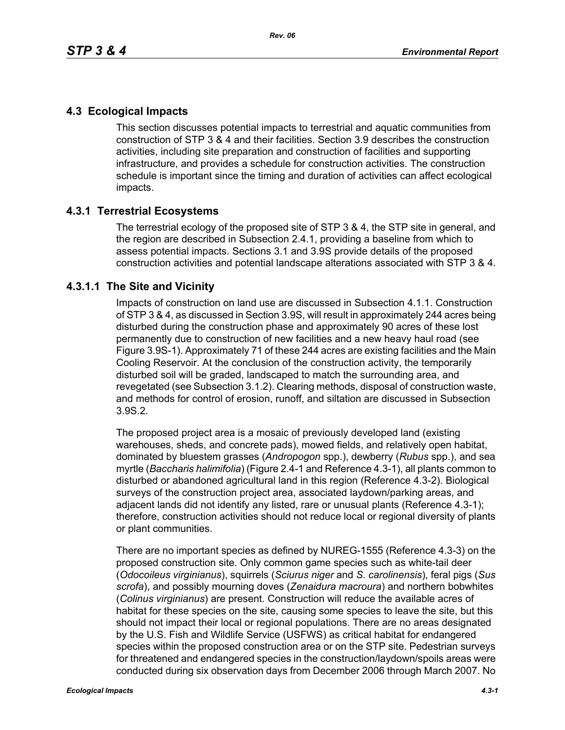# **4.3 Ecological Impacts**

This section discusses potential impacts to terrestrial and aquatic communities from construction of STP 3 & 4 and their facilities. Section 3.9 describes the construction activities, including site preparation and construction of facilities and supporting infrastructure, and provides a schedule for construction activities. The construction schedule is important since the timing and duration of activities can affect ecological impacts.

## **4.3.1 Terrestrial Ecosystems**

The terrestrial ecology of the proposed site of STP 3 & 4, the STP site in general, and the region are described in Subsection 2.4.1, providing a baseline from which to assess potential impacts. Sections 3.1 and 3.9S provide details of the proposed construction activities and potential landscape alterations associated with STP 3 & 4.

## **4.3.1.1 The Site and Vicinity**

Impacts of construction on land use are discussed in Subsection 4.1.1. Construction of STP 3 & 4, as discussed in Section 3.9S, will result in approximately 244 acres being disturbed during the construction phase and approximately 90 acres of these lost permanently due to construction of new facilities and a new heavy haul road (see Figure 3.9S-1). Approximately 71 of these 244 acres are existing facilities and the Main Cooling Reservoir. At the conclusion of the construction activity, the temporarily disturbed soil will be graded, landscaped to match the surrounding area, and revegetated (see Subsection 3.1.2). Clearing methods, disposal of construction waste, and methods for control of erosion, runoff, and siltation are discussed in Subsection 3.9S.2.

The proposed project area is a mosaic of previously developed land (existing warehouses, sheds, and concrete pads), mowed fields, and relatively open habitat, dominated by bluestem grasses (*Andropogon* spp.), dewberry (*Rubus* spp.), and sea myrtle (*Baccharis halimifolia*) (Figure 2.4-1 and Reference 4.3-1), all plants common to disturbed or abandoned agricultural land in this region (Reference 4.3-2). Biological surveys of the construction project area, associated laydown/parking areas, and adjacent lands did not identify any listed, rare or unusual plants (Reference 4.3-1); therefore, construction activities should not reduce local or regional diversity of plants or plant communities.

There are no important species as defined by NUREG-1555 (Reference 4.3-3) on the proposed construction site. Only common game species such as white-tail deer (*Odocoileus virginianus*), squirrels (*Sciurus niger* and *S. carolinensis*), feral pigs (*Sus scrofa*), and possibly mourning doves (*Zenaidura macroura*) and northern bobwhites (*Colinus virginianus*) are present. Construction will reduce the available acres of habitat for these species on the site, causing some species to leave the site, but this should not impact their local or regional populations. There are no areas designated by the U.S. Fish and Wildlife Service (USFWS) as critical habitat for endangered species within the proposed construction area or on the STP site. Pedestrian surveys for threatened and endangered species in the construction/laydown/spoils areas were conducted during six observation days from December 2006 through March 2007. No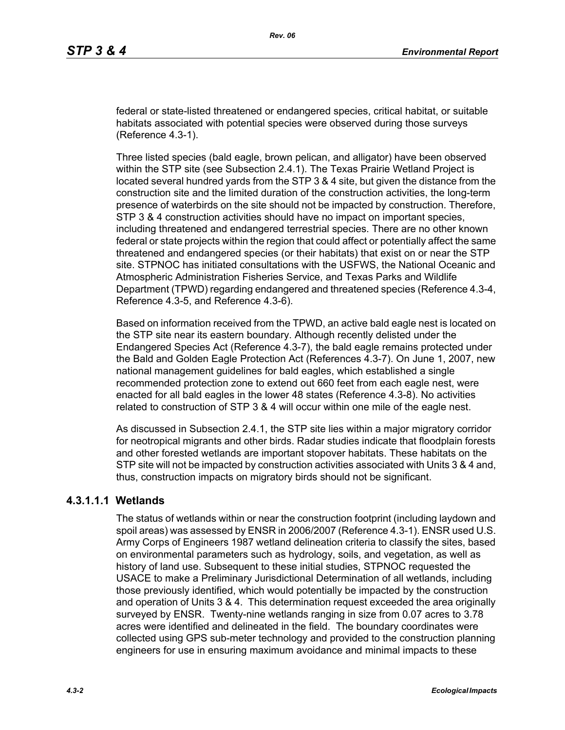federal or state-listed threatened or endangered species, critical habitat, or suitable habitats associated with potential species were observed during those surveys (Reference 4.3-1).

Three listed species (bald eagle, brown pelican, and alligator) have been observed within the STP site (see Subsection 2.4.1). The Texas Prairie Wetland Project is located several hundred yards from the STP 3 & 4 site, but given the distance from the construction site and the limited duration of the construction activities, the long-term presence of waterbirds on the site should not be impacted by construction. Therefore, STP 3 & 4 construction activities should have no impact on important species, including threatened and endangered terrestrial species. There are no other known federal or state projects within the region that could affect or potentially affect the same threatened and endangered species (or their habitats) that exist on or near the STP site. STPNOC has initiated consultations with the USFWS, the National Oceanic and Atmospheric Administration Fisheries Service, and Texas Parks and Wildlife Department (TPWD) regarding endangered and threatened species (Reference 4.3-4, Reference 4.3-5, and Reference 4.3-6).

Based on information received from the TPWD, an active bald eagle nest is located on the STP site near its eastern boundary. Although recently delisted under the Endangered Species Act (Reference 4.3-7), the bald eagle remains protected under the Bald and Golden Eagle Protection Act (References 4.3-7). On June 1, 2007, new national management guidelines for bald eagles, which established a single recommended protection zone to extend out 660 feet from each eagle nest, were enacted for all bald eagles in the lower 48 states (Reference 4.3-8). No activities related to construction of STP 3 & 4 will occur within one mile of the eagle nest.

As discussed in Subsection 2.4.1, the STP site lies within a major migratory corridor for neotropical migrants and other birds. Radar studies indicate that floodplain forests and other forested wetlands are important stopover habitats. These habitats on the STP site will not be impacted by construction activities associated with Units 3 & 4 and, thus, construction impacts on migratory birds should not be significant.

### **4.3.1.1.1 Wetlands**

The status of wetlands within or near the construction footprint (including laydown and spoil areas) was assessed by ENSR in 2006/2007 (Reference 4.3-1). ENSR used U.S. Army Corps of Engineers 1987 wetland delineation criteria to classify the sites, based on environmental parameters such as hydrology, soils, and vegetation, as well as history of land use. Subsequent to these initial studies, STPNOC requested the USACE to make a Preliminary Jurisdictional Determination of all wetlands, including those previously identified, which would potentially be impacted by the construction and operation of Units 3 & 4. This determination request exceeded the area originally surveyed by ENSR. Twenty-nine wetlands ranging in size from 0.07 acres to 3.78 acres were identified and delineated in the field. The boundary coordinates were collected using GPS sub-meter technology and provided to the construction planning engineers for use in ensuring maximum avoidance and minimal impacts to these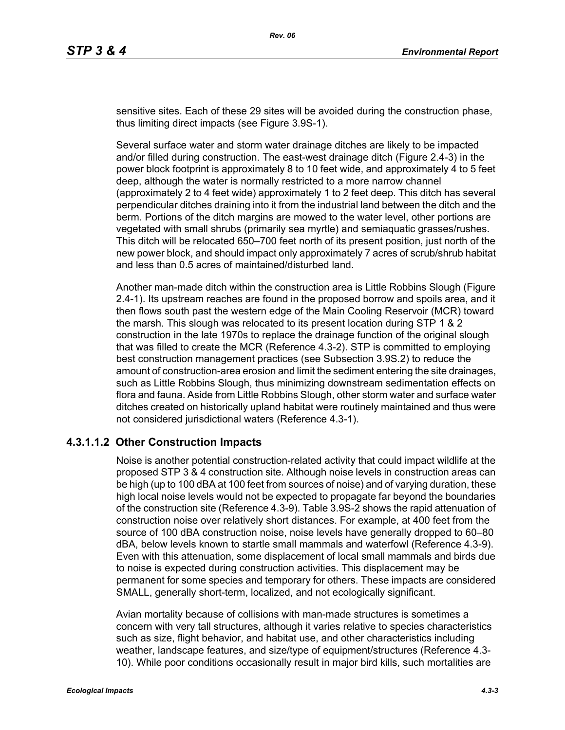sensitive sites. Each of these 29 sites will be avoided during the construction phase, thus limiting direct impacts (see Figure 3.9S-1).

Several surface water and storm water drainage ditches are likely to be impacted and/or filled during construction. The east-west drainage ditch (Figure 2.4-3) in the power block footprint is approximately 8 to 10 feet wide, and approximately 4 to 5 feet deep, although the water is normally restricted to a more narrow channel (approximately 2 to 4 feet wide) approximately 1 to 2 feet deep. This ditch has several perpendicular ditches draining into it from the industrial land between the ditch and the berm. Portions of the ditch margins are mowed to the water level, other portions are vegetated with small shrubs (primarily sea myrtle) and semiaquatic grasses/rushes. This ditch will be relocated 650–700 feet north of its present position, just north of the new power block, and should impact only approximately 7 acres of scrub/shrub habitat and less than 0.5 acres of maintained/disturbed land.

Another man-made ditch within the construction area is Little Robbins Slough (Figure 2.4-1). Its upstream reaches are found in the proposed borrow and spoils area, and it then flows south past the western edge of the Main Cooling Reservoir (MCR) toward the marsh. This slough was relocated to its present location during STP 1 & 2 construction in the late 1970s to replace the drainage function of the original slough that was filled to create the MCR (Reference 4.3-2). STP is committed to employing best construction management practices (see Subsection 3.9S.2) to reduce the amount of construction-area erosion and limit the sediment entering the site drainages, such as Little Robbins Slough, thus minimizing downstream sedimentation effects on flora and fauna. Aside from Little Robbins Slough, other storm water and surface water ditches created on historically upland habitat were routinely maintained and thus were not considered jurisdictional waters (Reference 4.3-1).

## **4.3.1.1.2 Other Construction Impacts**

Noise is another potential construction-related activity that could impact wildlife at the proposed STP 3 & 4 construction site. Although noise levels in construction areas can be high (up to 100 dBA at 100 feet from sources of noise) and of varying duration, these high local noise levels would not be expected to propagate far beyond the boundaries of the construction site (Reference 4.3-9). Table 3.9S-2 shows the rapid attenuation of construction noise over relatively short distances. For example, at 400 feet from the source of 100 dBA construction noise, noise levels have generally dropped to 60–80 dBA, below levels known to startle small mammals and waterfowl (Reference 4.3-9). Even with this attenuation, some displacement of local small mammals and birds due to noise is expected during construction activities. This displacement may be permanent for some species and temporary for others. These impacts are considered SMALL, generally short-term, localized, and not ecologically significant.

Avian mortality because of collisions with man-made structures is sometimes a concern with very tall structures, although it varies relative to species characteristics such as size, flight behavior, and habitat use, and other characteristics including weather, landscape features, and size/type of equipment/structures (Reference 4.3- 10). While poor conditions occasionally result in major bird kills, such mortalities are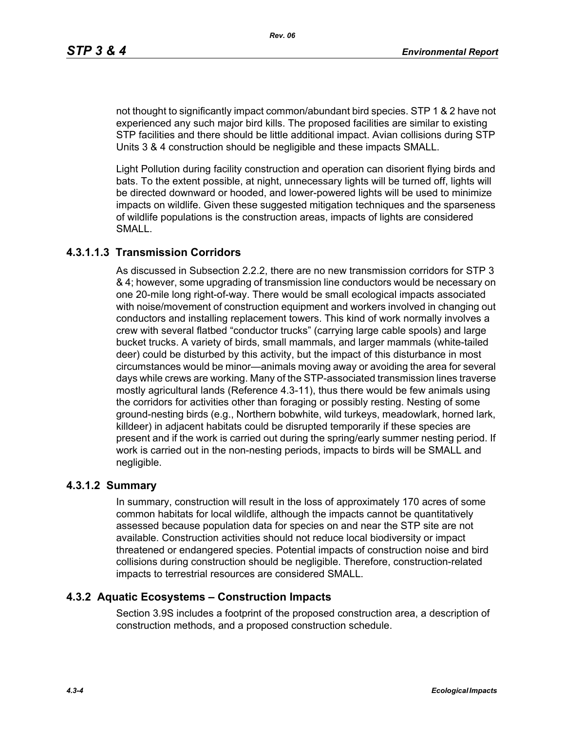not thought to significantly impact common/abundant bird species. STP 1 & 2 have not experienced any such major bird kills. The proposed facilities are similar to existing STP facilities and there should be little additional impact. Avian collisions during STP Units 3 & 4 construction should be negligible and these impacts SMALL.

Light Pollution during facility construction and operation can disorient flying birds and bats. To the extent possible, at night, unnecessary lights will be turned off, lights will be directed downward or hooded, and lower-powered lights will be used to minimize impacts on wildlife. Given these suggested mitigation techniques and the sparseness of wildlife populations is the construction areas, impacts of lights are considered SMALL.

### **4.3.1.1.3 Transmission Corridors**

As discussed in Subsection 2.2.2, there are no new transmission corridors for STP 3 & 4; however, some upgrading of transmission line conductors would be necessary on one 20-mile long right-of-way. There would be small ecological impacts associated with noise/movement of construction equipment and workers involved in changing out conductors and installing replacement towers. This kind of work normally involves a crew with several flatbed "conductor trucks" (carrying large cable spools) and large bucket trucks. A variety of birds, small mammals, and larger mammals (white-tailed deer) could be disturbed by this activity, but the impact of this disturbance in most circumstances would be minor—animals moving away or avoiding the area for several days while crews are working. Many of the STP-associated transmission lines traverse mostly agricultural lands (Reference 4.3-11), thus there would be few animals using the corridors for activities other than foraging or possibly resting. Nesting of some ground-nesting birds (e.g., Northern bobwhite, wild turkeys, meadowlark, horned lark, killdeer) in adjacent habitats could be disrupted temporarily if these species are present and if the work is carried out during the spring/early summer nesting period. If work is carried out in the non-nesting periods, impacts to birds will be SMALL and negligible.

#### **4.3.1.2 Summary**

In summary, construction will result in the loss of approximately 170 acres of some common habitats for local wildlife, although the impacts cannot be quantitatively assessed because population data for species on and near the STP site are not available. Construction activities should not reduce local biodiversity or impact threatened or endangered species. Potential impacts of construction noise and bird collisions during construction should be negligible. Therefore, construction-related impacts to terrestrial resources are considered SMALL.

#### **4.3.2 Aquatic Ecosystems – Construction Impacts**

Section 3.9S includes a footprint of the proposed construction area, a description of construction methods, and a proposed construction schedule.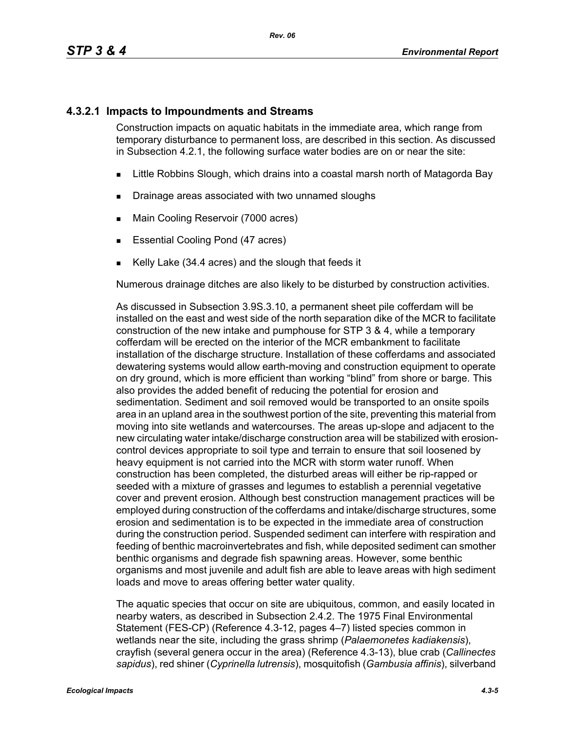#### **4.3.2.1 Impacts to Impoundments and Streams**

Construction impacts on aquatic habitats in the immediate area, which range from temporary disturbance to permanent loss, are described in this section. As discussed in Subsection 4.2.1, the following surface water bodies are on or near the site:

- **EXALLET A** Little Robbins Slough, which drains into a coastal marsh north of Matagorda Bay
- **Drainage areas associated with two unnamed sloughs**
- **Main Cooling Reservoir (7000 acres)**
- **Essential Cooling Pond (47 acres)**
- Kelly Lake (34.4 acres) and the slough that feeds it

Numerous drainage ditches are also likely to be disturbed by construction activities.

As discussed in Subsection 3.9S.3.10, a permanent sheet pile cofferdam will be installed on the east and west side of the north separation dike of the MCR to facilitate construction of the new intake and pumphouse for STP 3 & 4, while a temporary cofferdam will be erected on the interior of the MCR embankment to facilitate installation of the discharge structure. Installation of these cofferdams and associated dewatering systems would allow earth-moving and construction equipment to operate on dry ground, which is more efficient than working "blind" from shore or barge. This also provides the added benefit of reducing the potential for erosion and sedimentation. Sediment and soil removed would be transported to an onsite spoils area in an upland area in the southwest portion of the site, preventing this material from moving into site wetlands and watercourses. The areas up-slope and adjacent to the new circulating water intake/discharge construction area will be stabilized with erosioncontrol devices appropriate to soil type and terrain to ensure that soil loosened by heavy equipment is not carried into the MCR with storm water runoff. When construction has been completed, the disturbed areas will either be rip-rapped or seeded with a mixture of grasses and legumes to establish a perennial vegetative cover and prevent erosion. Although best construction management practices will be employed during construction of the cofferdams and intake/discharge structures, some erosion and sedimentation is to be expected in the immediate area of construction during the construction period. Suspended sediment can interfere with respiration and feeding of benthic macroinvertebrates and fish, while deposited sediment can smother benthic organisms and degrade fish spawning areas. However, some benthic organisms and most juvenile and adult fish are able to leave areas with high sediment loads and move to areas offering better water quality.

The aquatic species that occur on site are ubiquitous, common, and easily located in nearby waters, as described in Subsection 2.4.2. The 1975 Final Environmental Statement (FES-CP) (Reference 4.3-12, pages 4–7) listed species common in wetlands near the site, including the grass shrimp (*Palaemonetes kadiakensis*), crayfish (several genera occur in the area) (Reference 4.3-13), blue crab (*Callinectes sapidus*), red shiner (*Cyprinella lutrensis*), mosquitofish (*Gambusia affinis*), silverband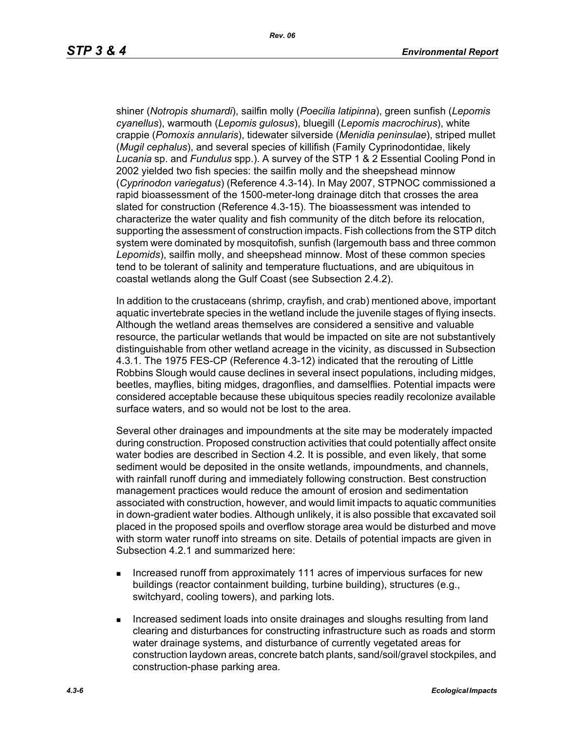shiner (*Notropis shumardi*), sailfin molly (*Poecilia latipinna*), green sunfish (*Lepomis cyanellus*), warmouth (*Lepomis gulosus*), bluegill (*Lepomis macrochirus*), white crappie (*Pomoxis annularis*), tidewater silverside (*Menidia peninsulae*), striped mullet (*Mugil cephalus*), and several species of killifish (Family Cyprinodontidae, likely *Lucania* sp. and *Fundulus* spp.). A survey of the STP 1 & 2 Essential Cooling Pond in 2002 yielded two fish species: the sailfin molly and the sheepshead minnow (*Cyprinodon variegatus*) (Reference 4.3-14). In May 2007, STPNOC commissioned a rapid bioassessment of the 1500-meter-long drainage ditch that crosses the area slated for construction (Reference 4.3-15). The bioassessment was intended to characterize the water quality and fish community of the ditch before its relocation, supporting the assessment of construction impacts. Fish collections from the STP ditch system were dominated by mosquitofish, sunfish (largemouth bass and three common *Lepomids*), sailfin molly, and sheepshead minnow. Most of these common species tend to be tolerant of salinity and temperature fluctuations, and are ubiquitous in coastal wetlands along the Gulf Coast (see Subsection 2.4.2).

In addition to the crustaceans (shrimp, crayfish, and crab) mentioned above, important aquatic invertebrate species in the wetland include the juvenile stages of flying insects. Although the wetland areas themselves are considered a sensitive and valuable resource, the particular wetlands that would be impacted on site are not substantively distinguishable from other wetland acreage in the vicinity, as discussed in Subsection 4.3.1. The 1975 FES-CP (Reference 4.3-12) indicated that the rerouting of Little Robbins Slough would cause declines in several insect populations, including midges, beetles, mayflies, biting midges, dragonflies, and damselflies. Potential impacts were considered acceptable because these ubiquitous species readily recolonize available surface waters, and so would not be lost to the area.

Several other drainages and impoundments at the site may be moderately impacted during construction. Proposed construction activities that could potentially affect onsite water bodies are described in Section 4.2. It is possible, and even likely, that some sediment would be deposited in the onsite wetlands, impoundments, and channels, with rainfall runoff during and immediately following construction. Best construction management practices would reduce the amount of erosion and sedimentation associated with construction, however, and would limit impacts to aquatic communities in down-gradient water bodies. Although unlikely, it is also possible that excavated soil placed in the proposed spoils and overflow storage area would be disturbed and move with storm water runoff into streams on site. Details of potential impacts are given in Subsection 4.2.1 and summarized here:

- **Increased runoff from approximately 111 acres of impervious surfaces for new** buildings (reactor containment building, turbine building), structures (e.g., switchyard, cooling towers), and parking lots.
- **Increased sediment loads into onsite drainages and sloughs resulting from land** clearing and disturbances for constructing infrastructure such as roads and storm water drainage systems, and disturbance of currently vegetated areas for construction laydown areas, concrete batch plants, sand/soil/gravel stockpiles, and construction-phase parking area.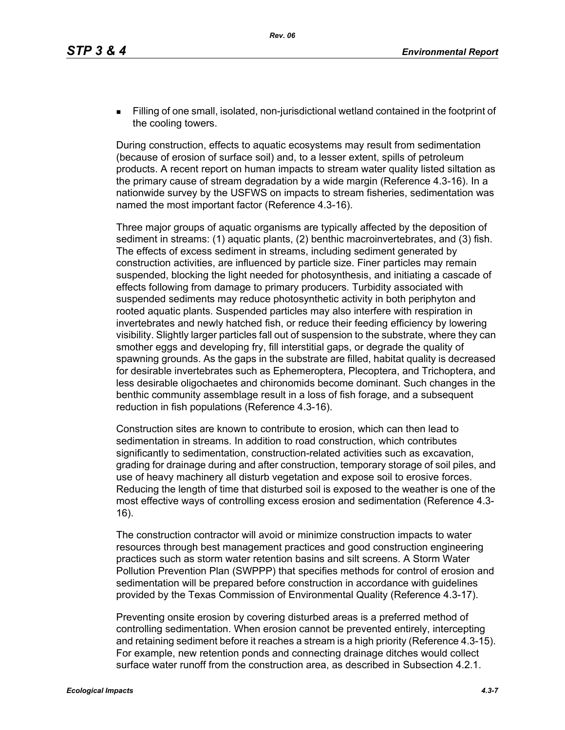Filling of one small, isolated, non-jurisdictional wetland contained in the footprint of the cooling towers.

During construction, effects to aquatic ecosystems may result from sedimentation (because of erosion of surface soil) and, to a lesser extent, spills of petroleum products. A recent report on human impacts to stream water quality listed siltation as the primary cause of stream degradation by a wide margin (Reference 4.3-16). In a nationwide survey by the USFWS on impacts to stream fisheries, sedimentation was named the most important factor (Reference 4.3-16).

Three major groups of aquatic organisms are typically affected by the deposition of sediment in streams: (1) aquatic plants, (2) benthic macroinvertebrates, and (3) fish. The effects of excess sediment in streams, including sediment generated by construction activities, are influenced by particle size. Finer particles may remain suspended, blocking the light needed for photosynthesis, and initiating a cascade of effects following from damage to primary producers. Turbidity associated with suspended sediments may reduce photosynthetic activity in both periphyton and rooted aquatic plants. Suspended particles may also interfere with respiration in invertebrates and newly hatched fish, or reduce their feeding efficiency by lowering visibility. Slightly larger particles fall out of suspension to the substrate, where they can smother eggs and developing fry, fill interstitial gaps, or degrade the quality of spawning grounds. As the gaps in the substrate are filled, habitat quality is decreased for desirable invertebrates such as Ephemeroptera, Plecoptera, and Trichoptera, and less desirable oligochaetes and chironomids become dominant. Such changes in the benthic community assemblage result in a loss of fish forage, and a subsequent reduction in fish populations (Reference 4.3-16).

Construction sites are known to contribute to erosion, which can then lead to sedimentation in streams. In addition to road construction, which contributes significantly to sedimentation, construction-related activities such as excavation, grading for drainage during and after construction, temporary storage of soil piles, and use of heavy machinery all disturb vegetation and expose soil to erosive forces. Reducing the length of time that disturbed soil is exposed to the weather is one of the most effective ways of controlling excess erosion and sedimentation (Reference 4.3- 16).

The construction contractor will avoid or minimize construction impacts to water resources through best management practices and good construction engineering practices such as storm water retention basins and silt screens. A Storm Water Pollution Prevention Plan (SWPPP) that specifies methods for control of erosion and sedimentation will be prepared before construction in accordance with guidelines provided by the Texas Commission of Environmental Quality (Reference 4.3-17).

Preventing onsite erosion by covering disturbed areas is a preferred method of controlling sedimentation. When erosion cannot be prevented entirely, intercepting and retaining sediment before it reaches a stream is a high priority (Reference 4.3-15). For example, new retention ponds and connecting drainage ditches would collect surface water runoff from the construction area, as described in Subsection 4.2.1.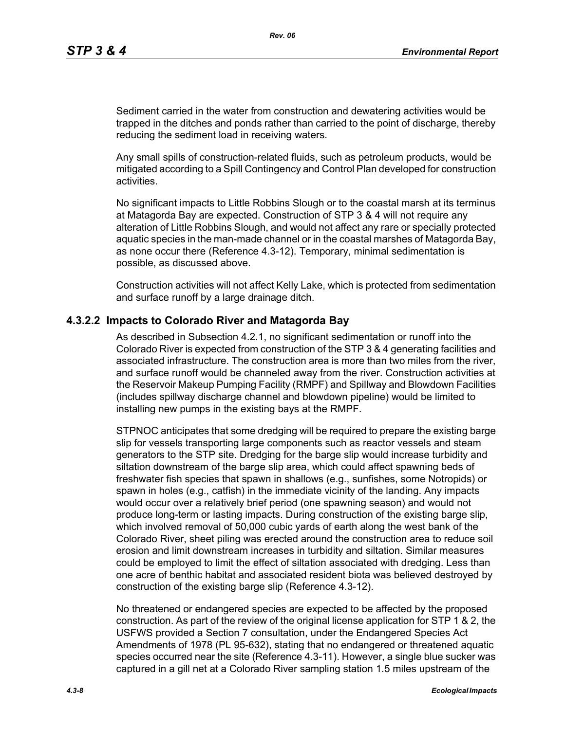Sediment carried in the water from construction and dewatering activities would be trapped in the ditches and ponds rather than carried to the point of discharge, thereby reducing the sediment load in receiving waters.

Any small spills of construction-related fluids, such as petroleum products, would be mitigated according to a Spill Contingency and Control Plan developed for construction activities.

No significant impacts to Little Robbins Slough or to the coastal marsh at its terminus at Matagorda Bay are expected. Construction of STP 3 & 4 will not require any alteration of Little Robbins Slough, and would not affect any rare or specially protected aquatic species in the man-made channel or in the coastal marshes of Matagorda Bay, as none occur there (Reference 4.3-12). Temporary, minimal sedimentation is possible, as discussed above.

Construction activities will not affect Kelly Lake, which is protected from sedimentation and surface runoff by a large drainage ditch.

#### **4.3.2.2 Impacts to Colorado River and Matagorda Bay**

As described in Subsection 4.2.1, no significant sedimentation or runoff into the Colorado River is expected from construction of the STP 3 & 4 generating facilities and associated infrastructure. The construction area is more than two miles from the river, and surface runoff would be channeled away from the river. Construction activities at the Reservoir Makeup Pumping Facility (RMPF) and Spillway and Blowdown Facilities (includes spillway discharge channel and blowdown pipeline) would be limited to installing new pumps in the existing bays at the RMPF.

STPNOC anticipates that some dredging will be required to prepare the existing barge slip for vessels transporting large components such as reactor vessels and steam generators to the STP site. Dredging for the barge slip would increase turbidity and siltation downstream of the barge slip area, which could affect spawning beds of freshwater fish species that spawn in shallows (e.g., sunfishes, some Notropids) or spawn in holes (e.g., catfish) in the immediate vicinity of the landing. Any impacts would occur over a relatively brief period (one spawning season) and would not produce long-term or lasting impacts. During construction of the existing barge slip, which involved removal of 50,000 cubic yards of earth along the west bank of the Colorado River, sheet piling was erected around the construction area to reduce soil erosion and limit downstream increases in turbidity and siltation. Similar measures could be employed to limit the effect of siltation associated with dredging. Less than one acre of benthic habitat and associated resident biota was believed destroyed by construction of the existing barge slip (Reference 4.3-12).

No threatened or endangered species are expected to be affected by the proposed construction. As part of the review of the original license application for STP 1 & 2, the USFWS provided a Section 7 consultation, under the Endangered Species Act Amendments of 1978 (PL 95-632), stating that no endangered or threatened aquatic species occurred near the site (Reference 4.3-11). However, a single blue sucker was captured in a gill net at a Colorado River sampling station 1.5 miles upstream of the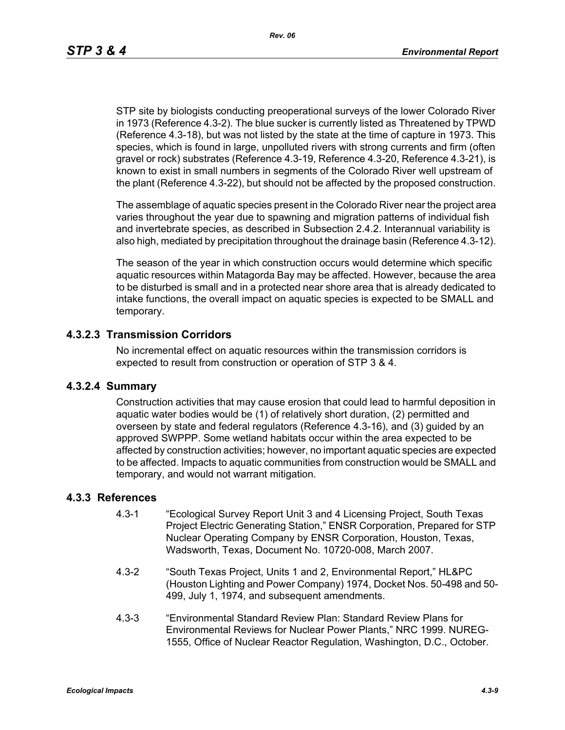STP site by biologists conducting preoperational surveys of the lower Colorado River in 1973 (Reference 4.3-2). The blue sucker is currently listed as Threatened by TPWD (Reference 4.3-18), but was not listed by the state at the time of capture in 1973. This species, which is found in large, unpolluted rivers with strong currents and firm (often gravel or rock) substrates (Reference 4.3-19, Reference 4.3-20, Reference 4.3-21), is known to exist in small numbers in segments of the Colorado River well upstream of the plant (Reference 4.3-22), but should not be affected by the proposed construction.

The assemblage of aquatic species present in the Colorado River near the project area varies throughout the year due to spawning and migration patterns of individual fish and invertebrate species, as described in Subsection 2.4.2. Interannual variability is also high, mediated by precipitation throughout the drainage basin (Reference 4.3-12).

The season of the year in which construction occurs would determine which specific aquatic resources within Matagorda Bay may be affected. However, because the area to be disturbed is small and in a protected near shore area that is already dedicated to intake functions, the overall impact on aquatic species is expected to be SMALL and temporary.

#### **4.3.2.3 Transmission Corridors**

No incremental effect on aquatic resources within the transmission corridors is expected to result from construction or operation of STP 3 & 4.

#### **4.3.2.4 Summary**

Construction activities that may cause erosion that could lead to harmful deposition in aquatic water bodies would be (1) of relatively short duration, (2) permitted and overseen by state and federal regulators (Reference 4.3-16), and (3) guided by an approved SWPPP. Some wetland habitats occur within the area expected to be affected by construction activities; however, no important aquatic species are expected to be affected. Impacts to aquatic communities from construction would be SMALL and temporary, and would not warrant mitigation.

#### **4.3.3 References**

- 4.3-1 "Ecological Survey Report Unit 3 and 4 Licensing Project, South Texas Project Electric Generating Station," ENSR Corporation, Prepared for STP Nuclear Operating Company by ENSR Corporation, Houston, Texas, Wadsworth, Texas, Document No. 10720-008, March 2007.
- 4.3-2 "South Texas Project, Units 1 and 2, Environmental Report," HL&PC (Houston Lighting and Power Company) 1974, Docket Nos. 50-498 and 50- 499, July 1, 1974, and subsequent amendments.
- 4.3-3 "Environmental Standard Review Plan: Standard Review Plans for Environmental Reviews for Nuclear Power Plants," NRC 1999. NUREG-1555, Office of Nuclear Reactor Regulation, Washington, D.C., October.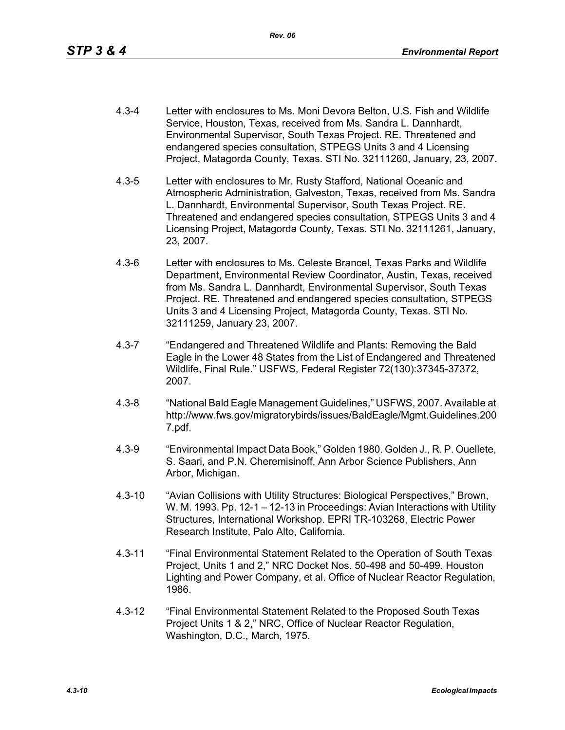- 4.3-4 Letter with enclosures to Ms. Moni Devora Belton, U.S. Fish and Wildlife Service, Houston, Texas, received from Ms. Sandra L. Dannhardt, Environmental Supervisor, South Texas Project. RE. Threatened and endangered species consultation, STPEGS Units 3 and 4 Licensing Project, Matagorda County, Texas. STI No. 32111260, January, 23, 2007.
- 4.3-5 Letter with enclosures to Mr. Rusty Stafford, National Oceanic and Atmospheric Administration, Galveston, Texas, received from Ms. Sandra L. Dannhardt, Environmental Supervisor, South Texas Project. RE. Threatened and endangered species consultation, STPEGS Units 3 and 4 Licensing Project, Matagorda County, Texas. STI No. 32111261, January, 23, 2007.
- 4.3-6 Letter with enclosures to Ms. Celeste Brancel, Texas Parks and Wildlife Department, Environmental Review Coordinator, Austin, Texas, received from Ms. Sandra L. Dannhardt, Environmental Supervisor, South Texas Project. RE. Threatened and endangered species consultation, STPEGS Units 3 and 4 Licensing Project, Matagorda County, Texas. STI No. 32111259, January 23, 2007.
- 4.3-7 "Endangered and Threatened Wildlife and Plants: Removing the Bald Eagle in the Lower 48 States from the List of Endangered and Threatened Wildlife, Final Rule." USFWS, Federal Register 72(130):37345-37372, 2007.
- 4.3-8 "National Bald Eagle Management Guidelines," USFWS, 2007. Available at http://www.fws.gov/migratorybirds/issues/BaldEagle/Mgmt.Guidelines.200 7.pdf.
- 4.3-9 "Environmental Impact Data Book," Golden 1980. Golden J., R. P. Ouellete, S. Saari, and P.N. Cheremisinoff, Ann Arbor Science Publishers, Ann Arbor, Michigan.
- 4.3-10 "Avian Collisions with Utility Structures: Biological Perspectives," Brown, W. M. 1993. Pp. 12-1 – 12-13 in Proceedings: Avian Interactions with Utility Structures, International Workshop. EPRI TR-103268, Electric Power Research Institute, Palo Alto, California.
- 4.3-11 "Final Environmental Statement Related to the Operation of South Texas Project, Units 1 and 2," NRC Docket Nos. 50-498 and 50-499. Houston Lighting and Power Company, et al. Office of Nuclear Reactor Regulation, 1986.
- 4.3-12 "Final Environmental Statement Related to the Proposed South Texas Project Units 1 & 2," NRC, Office of Nuclear Reactor Regulation, Washington, D.C., March, 1975.